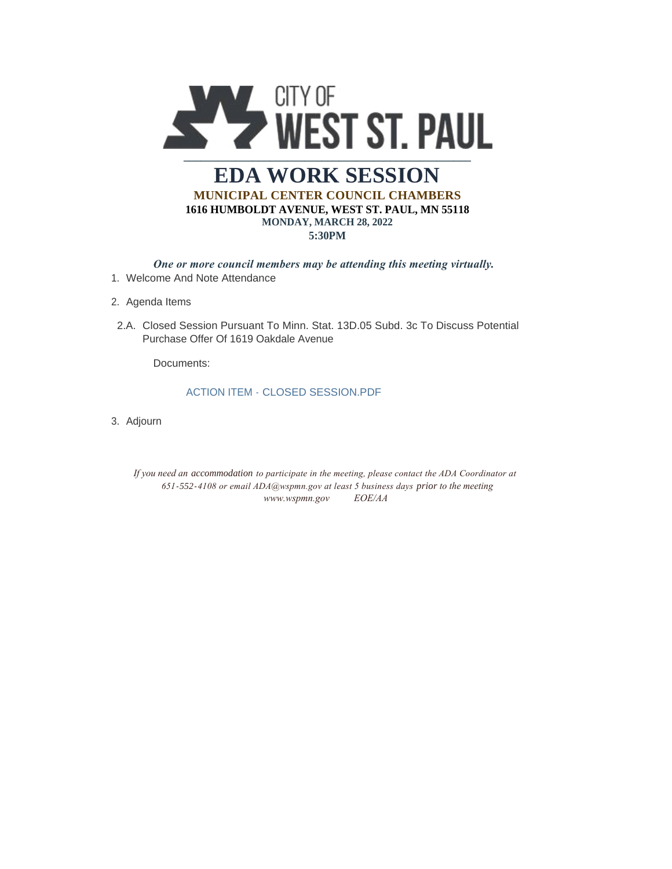

## **EDA WORK SESSION MUNICIPAL CENTER COUNCIL CHAMBERS 1616 HUMBOLDT AVENUE, WEST ST. PAUL, MN 55118 MONDAY, MARCH 28, 2022 5:30PM**

*One or more council members may be attending this meeting virtually.* 

- Welcome And Note Attendance 1.
- 2. Agenda Items
- 2.A. Closed Session Pursuant To Minn. Stat. 13D.05 Subd. 3c To Discuss Potential Purchase Offer Of 1619 Oakdale Avenue

Documents:

## ACTION ITEM - CLOSED SESSION.PDF

3. Adjourn

*If you need an accommodation to participate in the meeting, please contact the ADA Coordinator at 651-552-4108 or email ADA@wspmn.gov at least 5 business days prior to the meeting www.wspmn.gov EOE/AA*